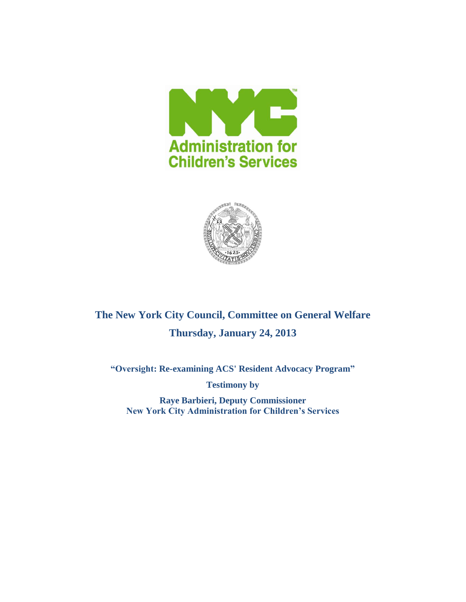



# **The New York City Council, Committee on General Welfare Thursday, January 24, 2013**

**"Oversight: Re-examining ACS' Resident Advocacy Program"**

**Testimony by**

**Raye Barbieri, Deputy Commissioner New York City Administration for Children's Services**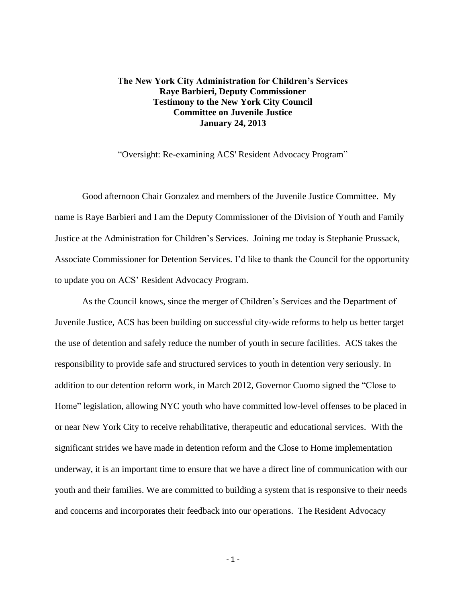### **The New York City Administration for Children's Services Raye Barbieri, Deputy Commissioner Testimony to the New York City Council Committee on Juvenile Justice January 24, 2013**

"Oversight: Re-examining ACS' Resident Advocacy Program"

Good afternoon Chair Gonzalez and members of the Juvenile Justice Committee. My name is Raye Barbieri and I am the Deputy Commissioner of the Division of Youth and Family Justice at the Administration for Children's Services. Joining me today is Stephanie Prussack, Associate Commissioner for Detention Services. I'd like to thank the Council for the opportunity to update you on ACS' Resident Advocacy Program.

As the Council knows, since the merger of Children's Services and the Department of Juvenile Justice, ACS has been building on successful city-wide reforms to help us better target the use of detention and safely reduce the number of youth in secure facilities. ACS takes the responsibility to provide safe and structured services to youth in detention very seriously. In addition to our detention reform work, in March 2012, Governor Cuomo signed the "Close to Home" legislation, allowing NYC youth who have committed low-level offenses to be placed in or near New York City to receive rehabilitative, therapeutic and educational services. With the significant strides we have made in detention reform and the Close to Home implementation underway, it is an important time to ensure that we have a direct line of communication with our youth and their families. We are committed to building a system that is responsive to their needs and concerns and incorporates their feedback into our operations. The Resident Advocacy

- 1 -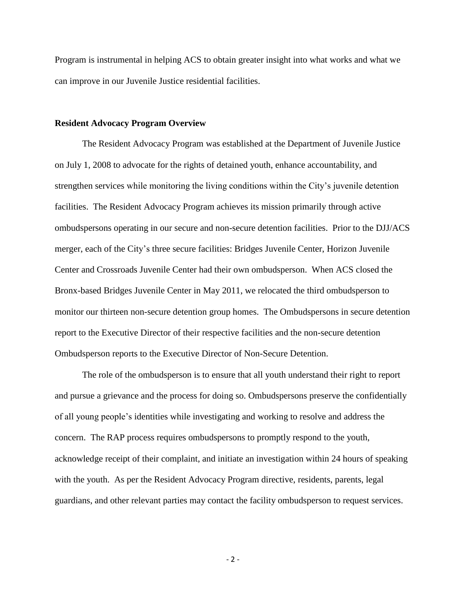Program is instrumental in helping ACS to obtain greater insight into what works and what we can improve in our Juvenile Justice residential facilities.

#### **Resident Advocacy Program Overview**

The Resident Advocacy Program was established at the Department of Juvenile Justice on July 1, 2008 to advocate for the rights of detained youth, enhance accountability, and strengthen services while monitoring the living conditions within the City's juvenile detention facilities. The Resident Advocacy Program achieves its mission primarily through active ombudspersons operating in our secure and non-secure detention facilities. Prior to the DJJ/ACS merger, each of the City's three secure facilities: Bridges Juvenile Center, Horizon Juvenile Center and Crossroads Juvenile Center had their own ombudsperson. When ACS closed the Bronx-based Bridges Juvenile Center in May 2011, we relocated the third ombudsperson to monitor our thirteen non-secure detention group homes. The Ombudspersons in secure detention report to the Executive Director of their respective facilities and the non-secure detention Ombudsperson reports to the Executive Director of Non-Secure Detention.

The role of the ombudsperson is to ensure that all youth understand their right to report and pursue a grievance and the process for doing so. Ombudspersons preserve the confidentially of all young people's identities while investigating and working to resolve and address the concern. The RAP process requires ombudspersons to promptly respond to the youth, acknowledge receipt of their complaint, and initiate an investigation within 24 hours of speaking with the youth. As per the Resident Advocacy Program directive, residents, parents, legal guardians, and other relevant parties may contact the facility ombudsperson to request services.

- 2 -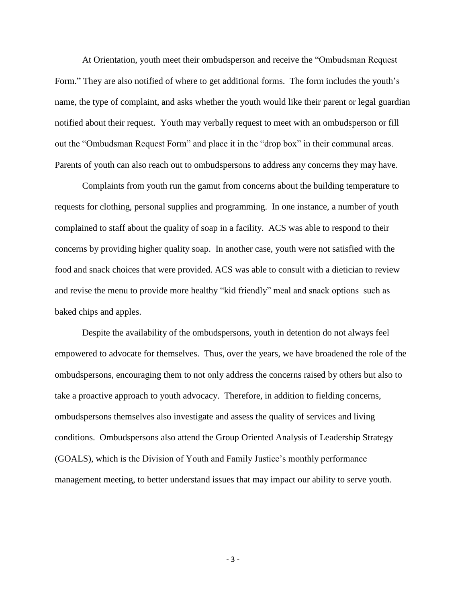At Orientation, youth meet their ombudsperson and receive the "Ombudsman Request Form." They are also notified of where to get additional forms. The form includes the youth's name, the type of complaint, and asks whether the youth would like their parent or legal guardian notified about their request. Youth may verbally request to meet with an ombudsperson or fill out the "Ombudsman Request Form" and place it in the "drop box" in their communal areas. Parents of youth can also reach out to ombudspersons to address any concerns they may have.

Complaints from youth run the gamut from concerns about the building temperature to requests for clothing, personal supplies and programming. In one instance, a number of youth complained to staff about the quality of soap in a facility. ACS was able to respond to their concerns by providing higher quality soap. In another case, youth were not satisfied with the food and snack choices that were provided. ACS was able to consult with a dietician to review and revise the menu to provide more healthy "kid friendly" meal and snack options such as baked chips and apples.

Despite the availability of the ombudspersons, youth in detention do not always feel empowered to advocate for themselves. Thus, over the years, we have broadened the role of the ombudspersons, encouraging them to not only address the concerns raised by others but also to take a proactive approach to youth advocacy. Therefore, in addition to fielding concerns, ombudspersons themselves also investigate and assess the quality of services and living conditions. Ombudspersons also attend the Group Oriented Analysis of Leadership Strategy (GOALS), which is the Division of Youth and Family Justice's monthly performance management meeting, to better understand issues that may impact our ability to serve youth.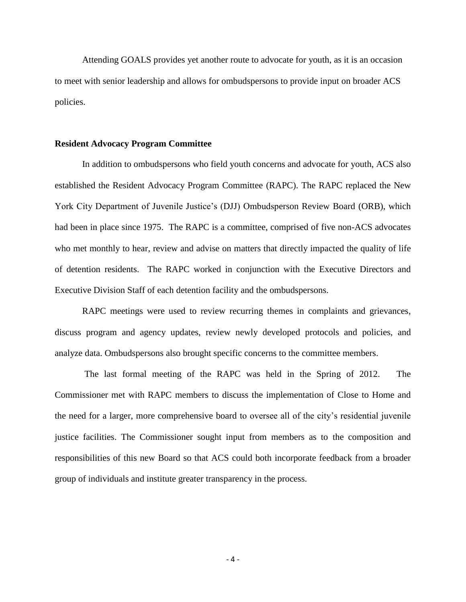Attending GOALS provides yet another route to advocate for youth, as it is an occasion to meet with senior leadership and allows for ombudspersons to provide input on broader ACS policies.

#### **Resident Advocacy Program Committee**

In addition to ombudspersons who field youth concerns and advocate for youth, ACS also established the Resident Advocacy Program Committee (RAPC). The RAPC replaced the New York City Department of Juvenile Justice's (DJJ) Ombudsperson Review Board (ORB), which had been in place since 1975. The RAPC is a committee, comprised of five non-ACS advocates who met monthly to hear, review and advise on matters that directly impacted the quality of life of detention residents. The RAPC worked in conjunction with the Executive Directors and Executive Division Staff of each detention facility and the ombudspersons.

RAPC meetings were used to review recurring themes in complaints and grievances, discuss program and agency updates, review newly developed protocols and policies, and analyze data. Ombudspersons also brought specific concerns to the committee members.

The last formal meeting of the RAPC was held in the Spring of 2012. The Commissioner met with RAPC members to discuss the implementation of Close to Home and the need for a larger, more comprehensive board to oversee all of the city's residential juvenile justice facilities. The Commissioner sought input from members as to the composition and responsibilities of this new Board so that ACS could both incorporate feedback from a broader group of individuals and institute greater transparency in the process.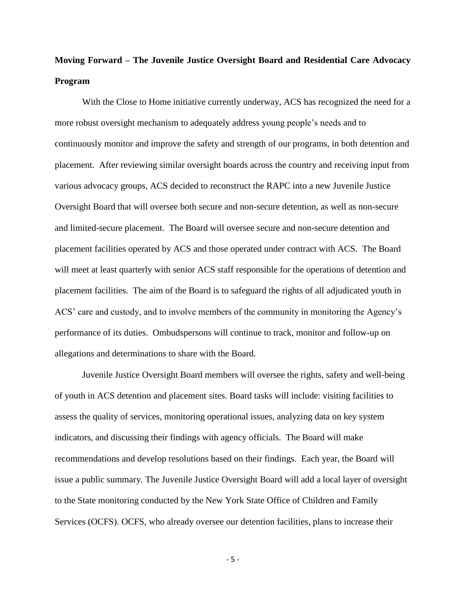## **Moving Forward – The Juvenile Justice Oversight Board and Residential Care Advocacy Program**

With the Close to Home initiative currently underway, ACS has recognized the need for a more robust oversight mechanism to adequately address young people's needs and to continuously monitor and improve the safety and strength of our programs, in both detention and placement. After reviewing similar oversight boards across the country and receiving input from various advocacy groups, ACS decided to reconstruct the RAPC into a new Juvenile Justice Oversight Board that will oversee both secure and non-secure detention, as well as non-secure and limited-secure placement. The Board will oversee secure and non-secure detention and placement facilities operated by ACS and those operated under contract with ACS. The Board will meet at least quarterly with senior ACS staff responsible for the operations of detention and placement facilities. The aim of the Board is to safeguard the rights of all adjudicated youth in ACS' care and custody, and to involve members of the community in monitoring the Agency's performance of its duties. Ombudspersons will continue to track, monitor and follow-up on allegations and determinations to share with the Board.

Juvenile Justice Oversight Board members will oversee the rights, safety and well-being of youth in ACS detention and placement sites. Board tasks will include: visiting facilities to assess the quality of services, monitoring operational issues, analyzing data on key system indicators, and discussing their findings with agency officials. The Board will make recommendations and develop resolutions based on their findings. Each year, the Board will issue a public summary. The Juvenile Justice Oversight Board will add a local layer of oversight to the State monitoring conducted by the New York State Office of Children and Family Services (OCFS). OCFS, who already oversee our detention facilities, plans to increase their

- 5 -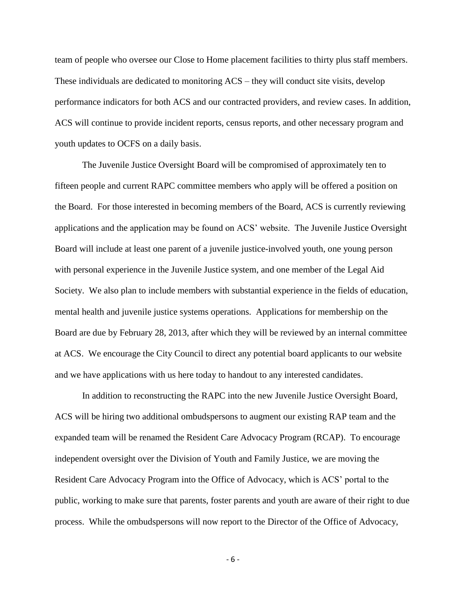team of people who oversee our Close to Home placement facilities to thirty plus staff members. These individuals are dedicated to monitoring ACS – they will conduct site visits, develop performance indicators for both ACS and our contracted providers, and review cases. In addition, ACS will continue to provide incident reports, census reports, and other necessary program and youth updates to OCFS on a daily basis.

The Juvenile Justice Oversight Board will be compromised of approximately ten to fifteen people and current RAPC committee members who apply will be offered a position on the Board. For those interested in becoming members of the Board, ACS is currently reviewing applications and the application may be found on ACS' website. The Juvenile Justice Oversight Board will include at least one parent of a juvenile justice-involved youth, one young person with personal experience in the Juvenile Justice system, and one member of the Legal Aid Society. We also plan to include members with substantial experience in the fields of education, mental health and juvenile justice systems operations. Applications for membership on the Board are due by February 28, 2013, after which they will be reviewed by an internal committee at ACS. We encourage the City Council to direct any potential board applicants to our website and we have applications with us here today to handout to any interested candidates.

In addition to reconstructing the RAPC into the new Juvenile Justice Oversight Board, ACS will be hiring two additional ombudspersons to augment our existing RAP team and the expanded team will be renamed the Resident Care Advocacy Program (RCAP). To encourage independent oversight over the Division of Youth and Family Justice, we are moving the Resident Care Advocacy Program into the Office of Advocacy, which is ACS' portal to the public, working to make sure that parents, foster parents and youth are aware of their right to due process. While the ombudspersons will now report to the Director of the Office of Advocacy,

- 6 -